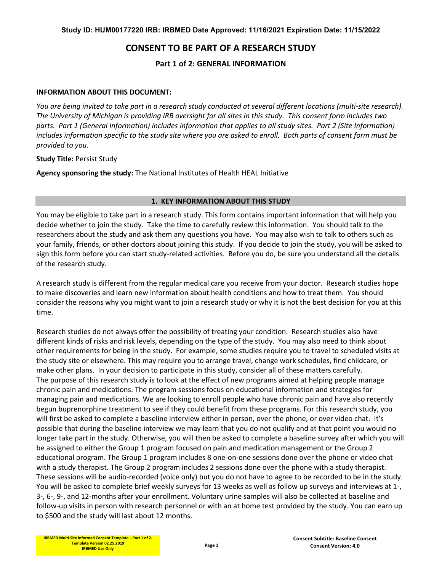# **CONSENT TO BE PART OF A RESEARCH STUDY**

**Part 1 of 2: GENERAL INFORMATION**

#### **INFORMATION ABOUT THIS DOCUMENT:**

*You are being invited to take part in a research study conducted at several different locations (multi-site research). The University of Michigan is providing IRB oversight for all sites in this study. This consent form includes two parts. Part 1 (General Information) includes information that applies to all study sites. Part 2 (Site Information) includes information specific to the study site where you are asked to enroll. Both parts of consent form must be provided to you.*

**Study Title:** Persist Study

**Agency sponsoring the study:** The National Institutes of Health HEAL Initiative

#### **1. KEY INFORMATION ABOUT THIS STUDY**

You may be eligible to take part in a research study. This form contains important information that will help you decide whether to join the study. Take the time to carefully review this information. You should talk to the researchers about the study and ask them any questions you have. You may also wish to talk to others such as your family, friends, or other doctors about joining this study. If you decide to join the study, you will be asked to sign this form before you can start study-related activities. Before you do, be sure you understand all the details of the research study.

A research study is different from the regular medical care you receive from your doctor. Research studies hope to make discoveries and learn new information about health conditions and how to treat them. You should consider the reasons why you might want to join a research study or why it is not the best decision for you at this time.

Research studies do not always offer the possibility of treating your condition. Research studies also have different kinds of risks and risk levels, depending on the type of the study. You may also need to think about other requirements for being in the study. For example, some studies require you to travel to scheduled visits at the study site or elsewhere. This may require you to arrange travel, change work schedules, find childcare, or make other plans. In your decision to participate in this study, consider all of these matters carefully. The purpose of this research study is to look at the effect of new programs aimed at helping people manage chronic pain and medications. The program sessions focus on educational information and strategies for managing pain and medications. We are looking to enroll people who have chronic pain and have also recently begun buprenorphine treatment to see if they could benefit from these programs. For this research study, you will first be asked to complete a baseline interview either in person, over the phone, or over video chat. It's possible that during the baseline interview we may learn that you do not qualify and at that point you would no longer take part in the study. Otherwise, you will then be asked to complete a baseline survey after which you will be assigned to either the Group 1 program focused on pain and medication management or the Group 2 educational program. The Group 1 program includes 8 one-on-one sessions done over the phone or video chat with a study therapist. The Group 2 program includes 2 sessions done over the phone with a study therapist. These sessions will be audio-recorded (voice only) but you do not have to agree to be recorded to be in the study. You will be asked to complete brief weekly surveys for 13 weeks as well as follow up surveys and interviews at 1-, 3-, 6-, 9-, and 12-months after your enrollment. Voluntary urine samples will also be collected at baseline and follow-up visits in person with research personnel or with an at home test provided by the study. You can earn up to \$500 and the study will last about 12 months.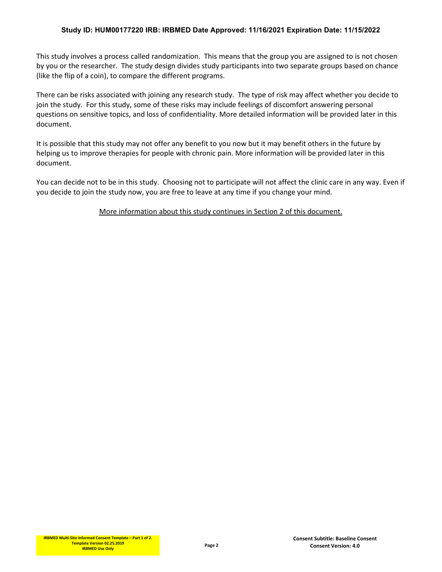This study involves a process called randomization. This means that the group you are assigned to is not chosen by you or the researcher. The study design divides study participants into two separate groups based on chance (like the flip of a coin), to compare the different programs.

There can be risks associated with joining any research study. The type of risk may affect whether you decide to join the study. For this study, some of these risks may include feelings of discomfort answering personal questions on sensitive topics, and loss of confidentiality. More detailed information will be provided later in this document.

It is possible that this study may not offer any benefit to you now but it may benefit others in the future by helping us to improve therapies for people with chronic pain. More information will be provided later in this document.

You can decide not to be in this study. Choosing not to participate will not affect the clinic care in any way. Even if you decide to join the study now, you are free to leave at any time if you change your mind.

More information about this study continues in Section 2 of this document.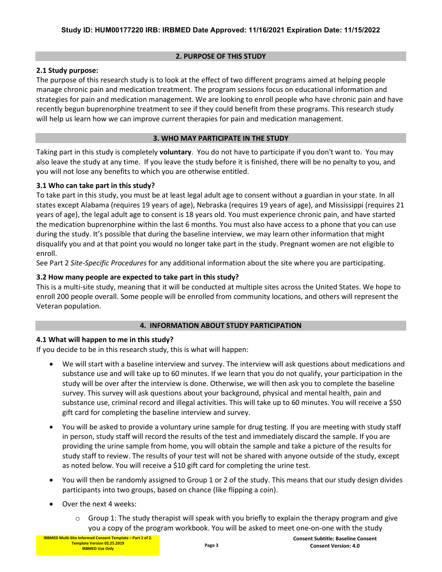#### **2. PURPOSE OF THIS STUDY**

## **2.1 Study purpose:**

The purpose of this research study is to look at the effect of two different programs aimed at helping people manage chronic pain and medication treatment. The program sessions focus on educational information and strategies for pain and medication management. We are looking to enroll people who have chronic pain and have recently begun buprenorphine treatment to see if they could benefit from these programs. This research study will help us learn how we can improve current therapies for pain and medication management.

#### **3. WHO MAY PARTICIPATE IN THE STUDY**

Taking part in this study is completely **voluntary**. You do not have to participate if you don't want to. You may also leave the study at any time. If you leave the study before it is finished, there will be no penalty to you, and you will not lose any benefits to which you are otherwise entitled.

#### **3.1 Who can take part in this study?**

To take part in this study, you must be at least legal adult age to consent without a guardian in your state. In all states except Alabama (requires 19 years of age), Nebraska (requires 19 years of age), and Mississippi (requires 21 years of age), the legal adult age to consent is 18 years old. You must experience chronic pain, and have started the medication buprenorphine within the last 6 months. You must also have access to a phone that you can use during the study. It's possible that during the baseline interview, we may learn other information that might disqualify you and at that point you would no longer take part in the study. Pregnant women are not eligible to enroll.

See Part 2 *Site-Specific Procedures* for any additional information about the site where you are participating.

## **3.2 How many people are expected to take part in this study?**

This is a multi-site study, meaning that it will be conducted at multiple sites across the United States. We hope to enroll 200 people overall. Some people will be enrolled from community locations, and others will represent the Veteran population.

## **4. INFORMATION ABOUT STUDY PARTICIPATION**

## **4.1 What will happen to me in this study?**

If you decide to be in this research study, this is what will happen:

- We will start with a baseline interview and survey. The interview will ask questions about medications and substance use and will take up to 60 minutes. If we learn that you do not qualify, your participation in the study will be over after the interview is done. Otherwise, we will then ask you to complete the baseline survey. This survey will ask questions about your background, physical and mental health, pain and substance use, criminal record and illegal activities. This will take up to 60 minutes. You will receive a \$50 gift card for completing the baseline interview and survey.
- You will be asked to provide a voluntary urine sample for drug testing. If you are meeting with study staff in person, study staff will record the results of the test and immediately discard the sample. If you are providing the urine sample from home, you will obtain the sample and take a picture of the results for study staff to review. The results of your test will not be shared with anyone outside of the study, except as noted below. You will receive a \$10 gift card for completing the urine test.
- You will then be randomly assigned to Group 1 or 2 of the study. This means that our study design divides participants into two groups, based on chance (like flipping a coin).
- Over the next 4 weeks:
	- $\circ$  Group 1: The study therapist will speak with you briefly to explain the therapy program and give you a copy of the program workbook. You will be asked to meet one-on-one with the study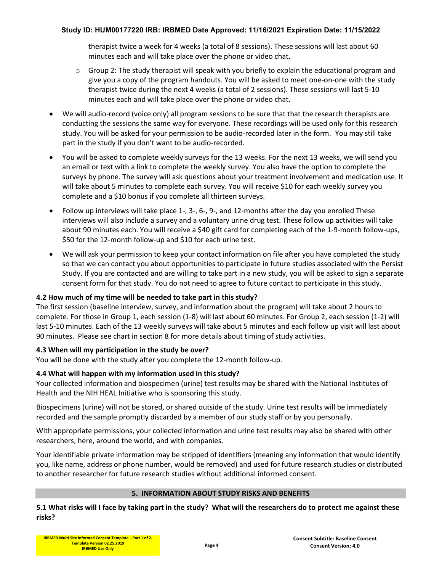therapist twice a week for 4 weeks (a total of 8 sessions). These sessions will last about 60 minutes each and will take place over the phone or video chat.

- $\circ$  Group 2: The study therapist will speak with you briefly to explain the educational program and give you a copy of the program handouts. You will be asked to meet one-on-one with the study therapist twice during the next 4 weeks (a total of 2 sessions). These sessions will last 5-10 minutes each and will take place over the phone or video chat.
- We will audio-record (voice only) all program sessions to be sure that that the research therapists are conducting the sessions the same way for everyone. These recordings will be used only for this research study. You will be asked for your permission to be audio-recorded later in the form. You may still take part in the study if you don't want to be audio-recorded.
- You will be asked to complete weekly surveys for the 13 weeks. For the next 13 weeks, we will send you an email or text with a link to complete the weekly survey. You also have the option to complete the surveys by phone. The survey will ask questions about your treatment involvement and medication use. It will take about 5 minutes to complete each survey. You will receive \$10 for each weekly survey you complete and a \$10 bonus if you complete all thirteen surveys.
- Follow up interviews will take place 1-, 3-, 6-, 9-, and 12-months after the day you enrolled These interviews will also include a survey and a voluntary urine drug test. These follow up activities will take about 90 minutes each. You will receive a \$40 gift card for completing each of the 1-9-month follow-ups, \$50 for the 12-month follow-up and \$10 for each urine test.
- We will ask your permission to keep your contact information on file after you have completed the study so that we can contact you about opportunities to participate in future studies associated with the Persist Study. If you are contacted and are willing to take part in a new study, you will be asked to sign a separate consent form for that study. You do not need to agree to future contact to participate in this study.

## **4.2 How much of my time will be needed to take part in this study?**

The first session (baseline interview, survey, and information about the program) will take about 2 hours to complete. For those in Group 1, each session (1-8) will last about 60 minutes. For Group 2, each session (1-2) will last 5-10 minutes. Each of the 13 weekly surveys will take about 5 minutes and each follow up visit will last about 90 minutes. Please see chart in section 8 for more details about timing of study activities.

## **4.3 When will my participation in the study be over?**

You will be done with the study after you complete the 12-month follow-up.

## **4.4 What will happen with my information used in this study?**

Your collected information and biospecimen (urine) test results may be shared with the National Institutes of Health and the NIH HEAL Initiative who is sponsoring this study.

Biospecimens (urine) will not be stored, or shared outside of the study. Urine test results will be immediately recorded and the sample promptly discarded by a member of our study staff or by you personally.

With appropriate permissions, your collected information and urine test results may also be shared with other researchers, here, around the world, and with companies.

Your identifiable private information may be stripped of identifiers (meaning any information that would identify you, like name, address or phone number, would be removed) and used for future research studies or distributed to another researcher for future research studies without additional informed consent.

## **5. INFORMATION ABOUT STUDY RISKS AND BENEFITS**

**5.1 What risks will I face by taking part in the study? What will the researchers do to protect me against these risks?**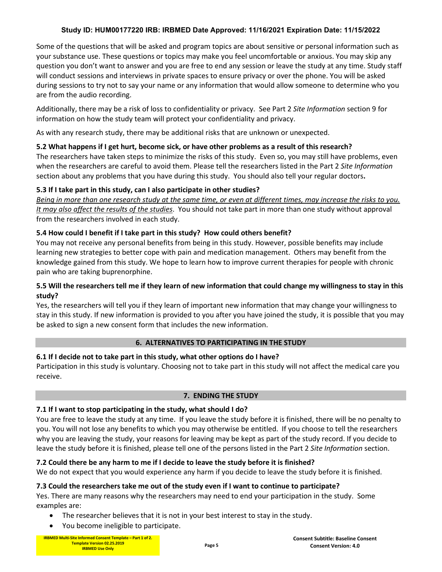Some of the questions that will be asked and program topics are about sensitive or personal information such as your substance use. These questions or topics may make you feel uncomfortable or anxious. You may skip any question you don't want to answer and you are free to end any session or leave the study at any time. Study staff will conduct sessions and interviews in private spaces to ensure privacy or over the phone. You will be asked during sessions to try not to say your name or any information that would allow someone to determine who you are from the audio recording.

Additionally, there may be a risk of loss to confidentiality or privacy. See Part 2 *Site Information* section 9 for information on how the study team will protect your confidentiality and privacy.

As with any research study, there may be additional risks that are unknown or unexpected.

# **5.2 What happens if I get hurt, become sick, or have other problems as a result of this research?**

The researchers have taken steps to minimize the risks of this study. Even so, you may still have problems, even when the researchers are careful to avoid them. Please tell the researchers listed in the Part 2 *Site Information* section about any problems that you have during this study. You should also tell your regular doctors**.**

# **5.3 If I take part in this study, can I also participate in other studies?**

*Being in more than one research study at the same time, or even at different times, may increase the risks to you. It may also affect the results of the studies*. You should not take part in more than one study without approval from the researchers involved in each study.

# **5.4 How could I benefit if I take part in this study? How could others benefit?**

You may not receive any personal benefits from being in this study. However, possible benefits may include learning new strategies to better cope with pain and medication management. Others may benefit from the knowledge gained from this study. We hope to learn how to improve current therapies for people with chronic pain who are taking buprenorphine.

# **5.5 Will the researchers tell me if they learn of new information that could change my willingness to stay in this study?**

Yes, the researchers will tell you if they learn of important new information that may change your willingness to stay in this study. If new information is provided to you after you have joined the study, it is possible that you may be asked to sign a new consent form that includes the new information.

## **6. ALTERNATIVES TO PARTICIPATING IN THE STUDY**

# **6.1 If I decide not to take part in this study, what other options do I have?**

Participation in this study is voluntary. Choosing not to take part in this study will not affect the medical care you receive.

## **7. ENDING THE STUDY**

## **7.1 If I want to stop participating in the study, what should I do?**

You are free to leave the study at any time. If you leave the study before it is finished, there will be no penalty to you. You will not lose any benefits to which you may otherwise be entitled. If you choose to tell the researchers why you are leaving the study, your reasons for leaving may be kept as part of the study record. If you decide to leave the study before it is finished, please tell one of the persons listed in the Part 2 *Site Information* section.

## **7.2 Could there be any harm to me if I decide to leave the study before it is finished?**

We do not expect that you would experience any harm if you decide to leave the study before it is finished.

# **7.3 Could the researchers take me out of the study even if I want to continue to participate?**

Yes. There are many reasons why the researchers may need to end your participation in the study. Some examples are:

- The researcher believes that it is not in your best interest to stay in the study.
- You become ineligible to participate.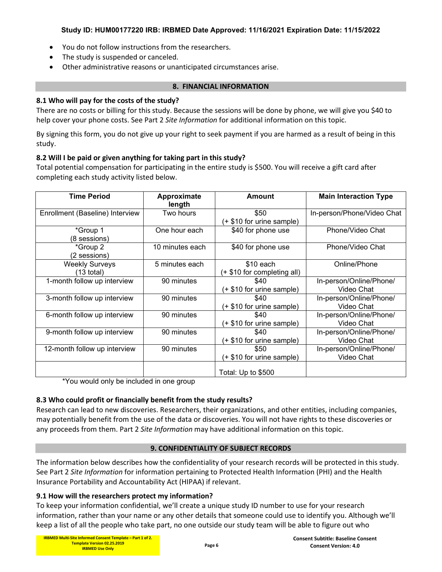- You do not follow instructions from the researchers.
- The study is suspended or canceled.
- Other administrative reasons or unanticipated circumstances arise.

#### **8. FINANCIAL INFORMATION**

## **8.1 Who will pay for the costs of the study?**

There are no costs or billing for this study. Because the sessions will be done by phone, we will give you \$40 to help cover your phone costs. See Part 2 *Site Information* for additional information on this topic.

By signing this form, you do not give up your right to seek payment if you are harmed as a result of being in this study.

## **8.2 Will I be paid or given anything for taking part in this study?**

Total potential compensation for participating in the entire study is \$500. You will receive a gift card after completing each study activity listed below.

| <b>Time Period</b>                    | Approximate<br>length | Amount                                    | <b>Main Interaction Type</b>          |
|---------------------------------------|-----------------------|-------------------------------------------|---------------------------------------|
| Enrollment (Baseline) Interview       | Two hours             | \$50<br>(+ \$10 for urine sample)         | In-person/Phone/Video Chat            |
| *Group 1<br>(8 sessions)              | One hour each         | \$40 for phone use                        | Phone/Video Chat                      |
| *Group 2<br>(2 sessions)              | 10 minutes each       | \$40 for phone use                        | Phone/Video Chat                      |
| <b>Weekly Surveys</b><br>$(13$ total) | 5 minutes each        | $$10$ each<br>(+ \$10 for completing all) | Online/Phone                          |
| 1-month follow up interview           | 90 minutes            | \$40<br>(+ \$10 for urine sample)         | In-person/Online/Phone/<br>Video Chat |
| 3-month follow up interview           | 90 minutes            | \$40<br>(+ \$10 for urine sample)         | In-person/Online/Phone/<br>Video Chat |
| 6-month follow up interview           | 90 minutes            | \$40<br>(+ \$10 for urine sample)         | In-person/Online/Phone/<br>Video Chat |
| 9-month follow up interview           | 90 minutes            | \$40<br>(+ \$10 for urine sample)         | In-person/Online/Phone/<br>Video Chat |
| 12-month follow up interview          | 90 minutes            | \$50<br>(+ \$10 for urine sample)         | In-person/Online/Phone/<br>Video Chat |
|                                       |                       | Total: Up to \$500                        |                                       |

\*You would only be included in one group

## **8.3 Who could profit or financially benefit from the study results?**

Research can lead to new discoveries. Researchers, their organizations, and other entities, including companies, may potentially benefit from the use of the data or discoveries. You will not have rights to these discoveries or any proceeds from them. Part 2 *Site Information* may have additional information on this topic.

## **9. CONFIDENTIALITY OF SUBJECT RECORDS**

The information below describes how the confidentiality of your research records will be protected in this study. See Part 2 *Site Information* for information pertaining to Protected Health Information (PHI) and the Health Insurance Portability and Accountability Act (HIPAA) if relevant.

## **9.1 How will the researchers protect my information?**

To keep your information confidential, we'll create a unique study ID number to use for your research information, rather than your name or any other details that someone could use to identify you. Although we'll keep a list of all the people who take part, no one outside our study team will be able to figure out who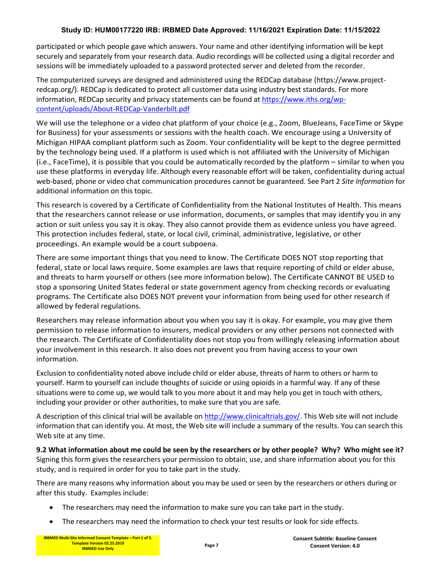participated or which people gave which answers. Your name and other identifying information will be kept securely and separately from your research data. Audio recordings will be collected using a digital recorder and sessions will be immediately uploaded to a password protected server and deleted from the recorder.

The computerized surveys are designed and administered using the REDCap database (https://www.projectredcap.org/). REDCap is dedicated to protect all customer data using industry best standards. For more information, REDCap security and privacy statements can be found at [https://www.iths.org/wp](https://www.iths.org/wp-content/uploads/About-REDCap-Vanderbilt.pdf)[content/uploads/About-REDCap-Vanderbilt.pdf](https://www.iths.org/wp-content/uploads/About-REDCap-Vanderbilt.pdf)

We will use the telephone or a video chat platform of your choice (e.g., Zoom, BlueJeans, FaceTime or Skype for Business) for your assessments or sessions with the health coach. We encourage using a University of Michigan HIPAA compliant platform such as Zoom. Your confidentiality will be kept to the degree permitted by the technology being used. If a platform is used which is not affiliated with the University of Michigan (i.e., FaceTime), it is possible that you could be automatically recorded by the platform – similar to when you use these platforms in everyday life. Although every reasonable effort will be taken, confidentiality during actual web-based, phone or video chat communication procedures cannot be guaranteed. See Part 2 *Site Information* for additional information on this topic.

This research is covered by a Certificate of Confidentiality from the National Institutes of Health. This means that the researchers cannot release or use information, documents, or samples that may identify you in any action or suit unless you say it is okay. They also cannot provide them as evidence unless you have agreed. This protection includes federal, state, or local civil, criminal, administrative, legislative, or other proceedings. An example would be a court subpoena.

There are some important things that you need to know. The Certificate DOES NOT stop reporting that federal, state or local laws require. Some examples are laws that require reporting of child or elder abuse, and threats to harm yourself or others (see more information below). The Certificate CANNOT BE USED to stop a sponsoring United States federal or state government agency from checking records or evaluating programs. The Certificate also DOES NOT prevent your information from being used for other research if allowed by federal regulations.

Researchers may release information about you when you say it is okay. For example, you may give them permission to release information to insurers, medical providers or any other persons not connected with the research. The Certificate of Confidentiality does not stop you from willingly releasing information about your involvement in this research. It also does not prevent you from having access to your own information.

Exclusion to confidentiality noted above include child or elder abuse, threats of harm to others or harm to yourself. Harm to yourself can include thoughts of suicide or using opioids in a harmful way. If any of these situations were to come up, we would talk to you more about it and may help you get in touch with others, including your provider or other authorities, to make sure that you are safe.

A description of this clinical trial will be available on [http://www.clinicaltrials.gov/.](http://www.clinicaltrials.gov/) This Web site will not include information that can identify you. At most, the Web site will include a summary of the results. You can search this Web site at any time.

**9.2 What information about me could be seen by the researchers or by other people? Why? Who might see it?** Signing this form gives the researchers your permission to obtain, use, and share information about you for this study, and is required in order for you to take part in the study.

There are many reasons why information about you may be used or seen by the researchers or others during or after this study. Examples include:

- The researchers may need the information to make sure you can take part in the study.
- The researchers may need the information to check your test results or look for side effects.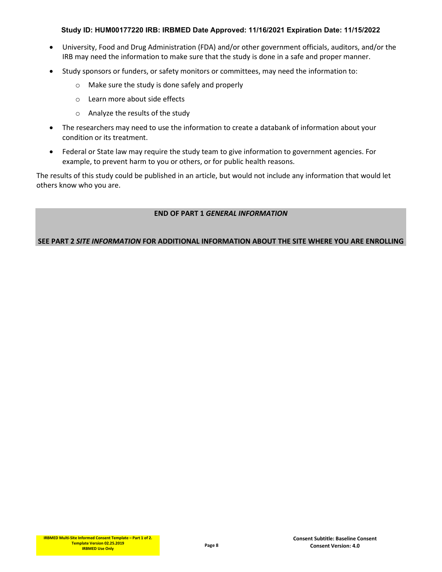- University, Food and Drug Administration (FDA) and/or other government officials, auditors, and/or the IRB may need the information to make sure that the study is done in a safe and proper manner.
- Study sponsors or funders, or safety monitors or committees, may need the information to:
	- o Make sure the study is done safely and properly
	- o Learn more about side effects
	- o Analyze the results of the study
- The researchers may need to use the information to create a databank of information about your condition or its treatment.
- Federal or State law may require the study team to give information to government agencies. For example, to prevent harm to you or others, or for public health reasons.

The results of this study could be published in an article, but would not include any information that would let others know who you are.

#### **END OF PART 1** *GENERAL INFORMATION*

**SEE PART 2** *SITE INFORMATION* **FOR ADDITIONAL INFORMATION ABOUT THE SITE WHERE YOU ARE ENROLLING**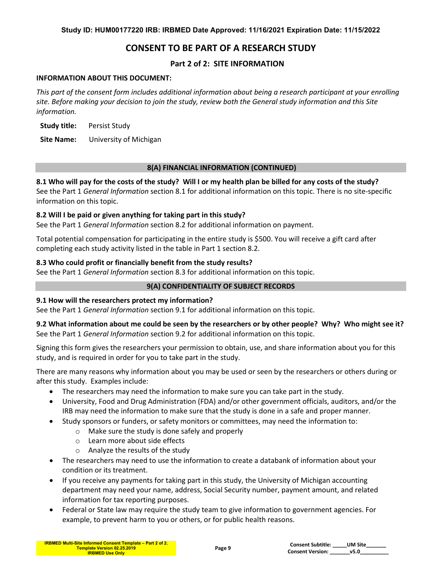# **CONSENT TO BE PART OF A RESEARCH STUDY**

# **Part 2 of 2: SITE INFORMATION**

#### **INFORMATION ABOUT THIS DOCUMENT:**

*This part of the consent form includes additional information about being a research participant at your enrolling site. Before making your decision to join the study, review both the General study information and this Site information.* 

**Study title:** Persist Study

**Site Name:** University of Michigan

#### **8(A) FINANCIAL INFORMATION (CONTINUED)**

**8.1 Who will pay for the costs of the study? Will I or my health plan be billed for any costs of the study?**  See the Part 1 *General Information* section 8.1 for additional information on this topic. There is no site-specific information on this topic.

## **8.2 Will I be paid or given anything for taking part in this study?**

See the Part 1 *General Information* section 8.2 for additional information on payment.

Total potential compensation for participating in the entire study is \$500. You will receive a gift card after completing each study activity listed in the table in Part 1 section 8.2.

## **8.3 Who could profit or financially benefit from the study results?**

See the Part 1 *General Information* section 8.3 for additional information on this topic.

#### **9(A) CONFIDENTIALITY OF SUBJECT RECORDS**

## **9.1 How will the researchers protect my information?**

See the Part 1 *General Information* section 9.1 for additional information on this topic.

## **9.2 What information about me could be seen by the researchers or by other people? Why? Who might see it?** See the Part 1 *General Information* section 9.2 for additional information on this topic.

Signing this form gives the researchers your permission to obtain, use, and share information about you for this study, and is required in order for you to take part in the study.

There are many reasons why information about you may be used or seen by the researchers or others during or after this study. Examples include:

- The researchers may need the information to make sure you can take part in the study.
- University, Food and Drug Administration (FDA) and/or other government officials, auditors, and/or the IRB may need the information to make sure that the study is done in a safe and proper manner.
- Study sponsors or funders, or safety monitors or committees, may need the information to:
	- o Make sure the study is done safely and properly
	- o Learn more about side effects
	- o Analyze the results of the study
- The researchers may need to use the information to create a databank of information about your condition or its treatment.
- If you receive any payments for taking part in this study, the University of Michigan accounting department may need your name, address, Social Security number, payment amount, and related information for tax reporting purposes.
- Federal or State law may require the study team to give information to government agencies. For example, to prevent harm to you or others, or for public health reasons.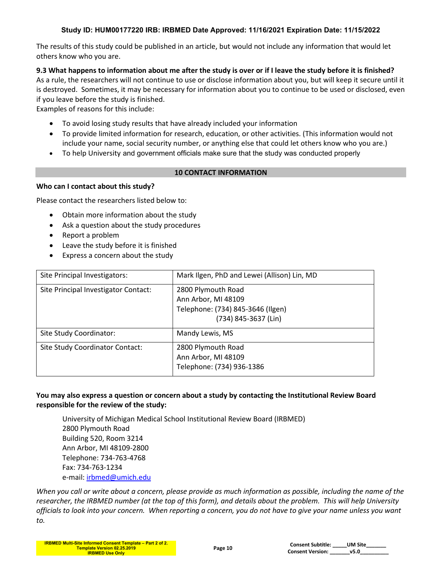The results of this study could be published in an article, but would not include any information that would let others know who you are.

**9.3 What happens to information about me after the study is over or if I leave the study before it is finished?** As a rule, the researchers will not continue to use or disclose information about you, but will keep it secure until it is destroyed. Sometimes, it may be necessary for information about you to continue to be used or disclosed, even if you leave before the study is finished.

Examples of reasons for this include:

- To avoid losing study results that have already included your information
- To provide limited information for research, education, or other activities. (This information would not include your name, social security number, or anything else that could let others know who you are.)
- To help University and government officials make sure that the study was conducted properly

## **10 CONTACT INFORMATION**

# **Who can I contact about this study?**

Please contact the researchers listed below to:

- Obtain more information about the study
- Ask a question about the study procedures
- Report a problem
- Leave the study before it is finished
- Express a concern about the study

| Site Principal Investigators:        | Mark Ilgen, PhD and Lewei (Allison) Lin, MD                                                            |
|--------------------------------------|--------------------------------------------------------------------------------------------------------|
| Site Principal Investigator Contact: | 2800 Plymouth Road<br>Ann Arbor, MI 48109<br>Telephone: (734) 845-3646 (Ilgen)<br>(734) 845-3637 (Lin) |
| Site Study Coordinator:              | Mandy Lewis, MS                                                                                        |
| Site Study Coordinator Contact:      | 2800 Plymouth Road<br>Ann Arbor, MI 48109<br>Telephone: (734) 936-1386                                 |

## **You may also express a question or concern about a study by contacting the Institutional Review Board responsible for the review of the study:**

University of Michigan Medical School Institutional Review Board (IRBMED) 2800 Plymouth Road Building 520, Room 3214 Ann Arbor, MI 48109-2800 Telephone: 734-763-4768 Fax: 734-763-1234 e-mail: [irbmed@umich.edu](mailto:irbmed@umich.edu)

*When you call or write about a concern, please provide as much information as possible, including the name of the researcher, the IRBMED number (at the top of this form), and details about the problem. This will help University officials to look into your concern. When reporting a concern, you do not have to give your name unless you want to.*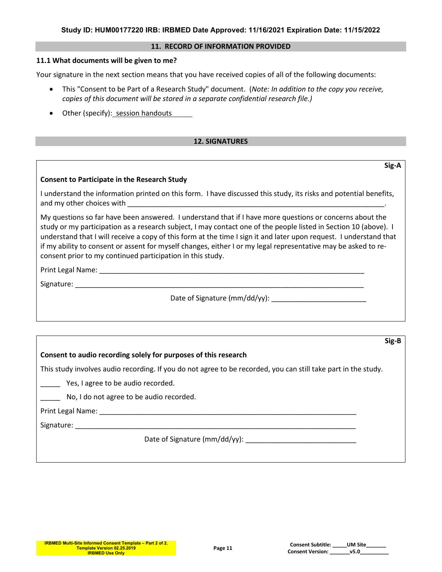#### **11. RECORD OF INFORMATION PROVIDED**

#### **11.1 What documents will be given to me?**

Your signature in the next section means that you have received copies of all of the following documents:

- This "Consent to be Part of a Research Study" document. (*Note: In addition to the copy you receive, copies of this document will be stored in a separate confidential research file.)*
- Other (specify): session handouts

#### **12. SIGNATURES**

#### **Consent to Participate in the Research Study**

I understand the information printed on this form. I have discussed this study, its risks and potential benefits, and my other choices with

My questions so far have been answered. I understand that if I have more questions or concerns about the study or my participation as a research subject, I may contact one of the people listed in Section 10 (above). I understand that I will receive a copy of this form at the time I sign it and later upon request. I understand that if my ability to consent or assent for myself changes, either I or my legal representative may be asked to reconsent prior to my continued participation in this study.

Print Legal Name: Legal 2008

Signature: \_\_\_\_\_\_\_\_\_\_\_\_\_\_\_\_\_\_\_\_\_\_\_\_\_\_\_\_\_\_\_\_\_\_\_\_\_\_\_\_\_\_\_\_\_\_\_\_\_\_\_\_\_\_\_\_\_\_\_\_\_\_\_\_\_\_\_\_\_\_\_\_\_

Date of Signature (mm/dd/yy):

#### **Sig-B**

**Sig-A**

#### **Consent to audio recording solely for purposes of this research**

This study involves audio recording. If you do not agree to be recorded, you can still take part in the study.

**\_\_\_\_\_** Yes, I agree to be audio recorded.

No, I do not agree to be audio recorded.

Print Legal Name: \_\_\_\_\_\_\_\_\_\_\_\_\_\_\_\_\_\_\_\_\_\_\_\_\_\_\_\_\_\_\_\_\_\_\_\_\_\_\_\_\_\_\_\_\_\_\_\_\_\_\_\_\_\_\_\_\_\_\_\_\_\_\_\_\_

Signature:

Date of Signature ( $mm/dd/yy$ ):